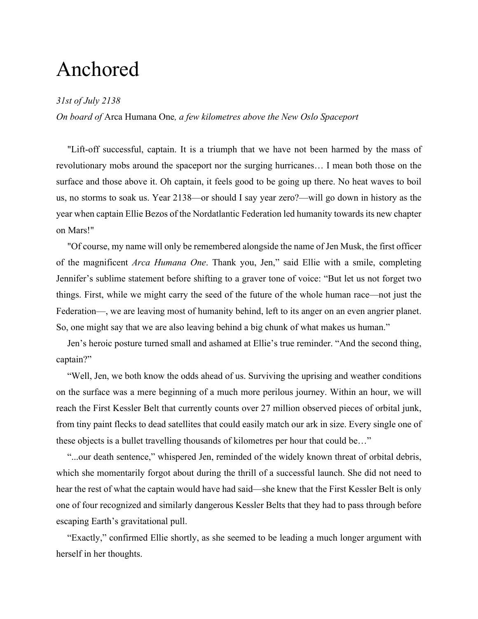# Anchored

## *31st of July 2138*

*On board of* Arca Humana One*, a few kilometres above the New Oslo Spaceport*

"Lift-off successful, captain. It is a triumph that we have not been harmed by the mass of revolutionary mobs around the spaceport nor the surging hurricanes… I mean both those on the surface and those above it. Oh captain, it feels good to be going up there. No heat waves to boil us, no storms to soak us. Year 2138—or should I say year zero?—will go down in history as the year when captain Ellie Bezos of the Nordatlantic Federation led humanity towards its new chapter on Mars!"

"Of course, my name will only be remembered alongside the name of Jen Musk, the first officer of the magnificent *Arca Humana One*. Thank you, Jen," said Ellie with a smile, completing Jennifer's sublime statement before shifting to a graver tone of voice: "But let us not forget two things. First, while we might carry the seed of the future of the whole human race—not just the Federation—, we are leaving most of humanity behind, left to its anger on an even angrier planet. So, one might say that we are also leaving behind a big chunk of what makes us human."

Jen's heroic posture turned small and ashamed at Ellie's true reminder. "And the second thing, captain?"

"Well, Jen, we both know the odds ahead of us. Surviving the uprising and weather conditions on the surface was a mere beginning of a much more perilous journey. Within an hour, we will reach the First Kessler Belt that currently counts over 27 million observed pieces of orbital junk, from tiny paint flecks to dead satellites that could easily match our ark in size. Every single one of these objects is a bullet travelling thousands of kilometres per hour that could be…"

"...our death sentence," whispered Jen, reminded of the widely known threat of orbital debris, which she momentarily forgot about during the thrill of a successful launch. She did not need to hear the rest of what the captain would have had said—she knew that the First Kessler Belt is only one of four recognized and similarly dangerous Kessler Belts that they had to pass through before escaping Earth's gravitational pull.

"Exactly," confirmed Ellie shortly, as she seemed to be leading a much longer argument with herself in her thoughts.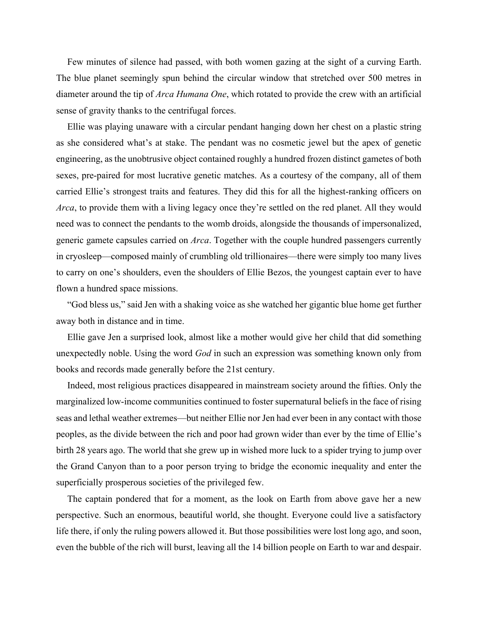Few minutes of silence had passed, with both women gazing at the sight of a curving Earth. The blue planet seemingly spun behind the circular window that stretched over 500 metres in diameter around the tip of *Arca Humana One*, which rotated to provide the crew with an artificial sense of gravity thanks to the centrifugal forces.

Ellie was playing unaware with a circular pendant hanging down her chest on a plastic string as she considered what's at stake. The pendant was no cosmetic jewel but the apex of genetic engineering, as the unobtrusive object contained roughly a hundred frozen distinct gametes of both sexes, pre-paired for most lucrative genetic matches. As a courtesy of the company, all of them carried Ellie's strongest traits and features. They did this for all the highest-ranking officers on *Arca*, to provide them with a living legacy once they're settled on the red planet. All they would need was to connect the pendants to the womb droids, alongside the thousands of impersonalized, generic gamete capsules carried on *Arca*. Together with the couple hundred passengers currently in cryosleep—composed mainly of crumbling old trillionaires—there were simply too many lives to carry on one's shoulders, even the shoulders of Ellie Bezos, the youngest captain ever to have flown a hundred space missions.

"God bless us," said Jen with a shaking voice as she watched her gigantic blue home get further away both in distance and in time.

Ellie gave Jen a surprised look, almost like a mother would give her child that did something unexpectedly noble. Using the word *God* in such an expression was something known only from books and records made generally before the 21st century.

Indeed, most religious practices disappeared in mainstream society around the fifties. Only the marginalized low-income communities continued to foster supernatural beliefs in the face of rising seas and lethal weather extremes—but neither Ellie nor Jen had ever been in any contact with those peoples, as the divide between the rich and poor had grown wider than ever by the time of Ellie's birth 28 years ago. The world that she grew up in wished more luck to a spider trying to jump over the Grand Canyon than to a poor person trying to bridge the economic inequality and enter the superficially prosperous societies of the privileged few.

The captain pondered that for a moment, as the look on Earth from above gave her a new perspective. Such an enormous, beautiful world, she thought. Everyone could live a satisfactory life there, if only the ruling powers allowed it. But those possibilities were lost long ago, and soon, even the bubble of the rich will burst, leaving all the 14 billion people on Earth to war and despair.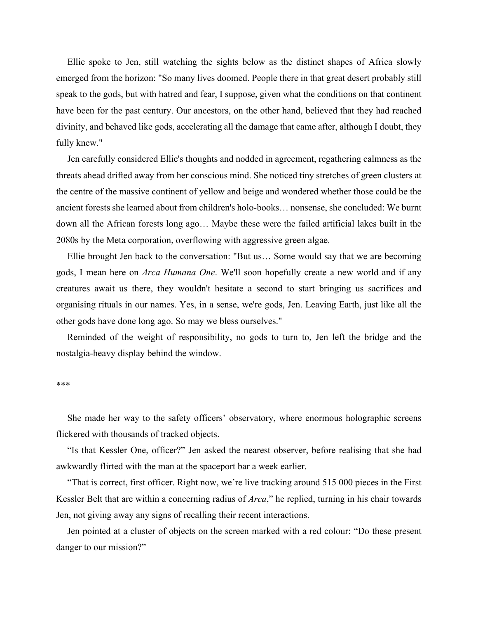Ellie spoke to Jen, still watching the sights below as the distinct shapes of Africa slowly emerged from the horizon: "So many lives doomed. People there in that great desert probably still speak to the gods, but with hatred and fear, I suppose, given what the conditions on that continent have been for the past century. Our ancestors, on the other hand, believed that they had reached divinity, and behaved like gods, accelerating all the damage that came after, although I doubt, they fully knew."

Jen carefully considered Ellie's thoughts and nodded in agreement, regathering calmness as the threats ahead drifted away from her conscious mind. She noticed tiny stretches of green clusters at the centre of the massive continent of yellow and beige and wondered whether those could be the ancient forests she learned about from children's holo-books… nonsense, she concluded: We burnt down all the African forests long ago… Maybe these were the failed artificial lakes built in the 2080s by the Meta corporation, overflowing with aggressive green algae.

Ellie brought Jen back to the conversation: "But us… Some would say that we are becoming gods, I mean here on *Arca Humana One*. We'll soon hopefully create a new world and if any creatures await us there, they wouldn't hesitate a second to start bringing us sacrifices and organising rituals in our names. Yes, in a sense, we're gods, Jen. Leaving Earth, just like all the other gods have done long ago. So may we bless ourselves."

Reminded of the weight of responsibility, no gods to turn to, Jen left the bridge and the nostalgia-heavy display behind the window.

#### \*\*\*

She made her way to the safety officers' observatory, where enormous holographic screens flickered with thousands of tracked objects.

"Is that Kessler One, officer?" Jen asked the nearest observer, before realising that she had awkwardly flirted with the man at the spaceport bar a week earlier.

"That is correct, first officer. Right now, we're live tracking around 515 000 pieces in the First Kessler Belt that are within a concerning radius of *Arca*," he replied, turning in his chair towards Jen, not giving away any signs of recalling their recent interactions.

Jen pointed at a cluster of objects on the screen marked with a red colour: "Do these present danger to our mission?"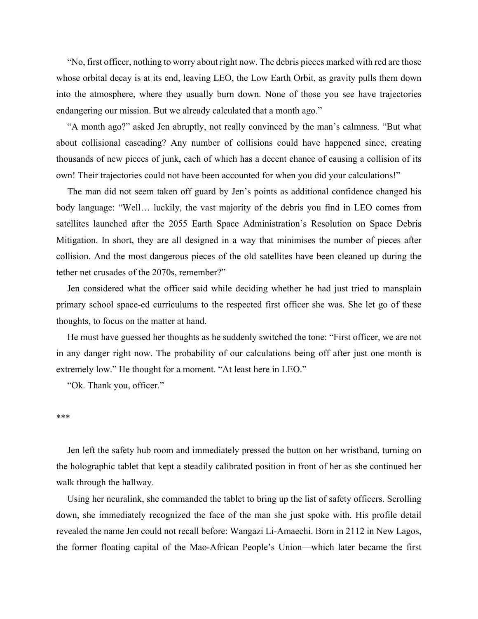"No, first officer, nothing to worry about right now. The debris pieces marked with red are those whose orbital decay is at its end, leaving LEO, the Low Earth Orbit, as gravity pulls them down into the atmosphere, where they usually burn down. None of those you see have trajectories endangering our mission. But we already calculated that a month ago."

"A month ago?" asked Jen abruptly, not really convinced by the man's calmness. "But what about collisional cascading? Any number of collisions could have happened since, creating thousands of new pieces of junk, each of which has a decent chance of causing a collision of its own! Their trajectories could not have been accounted for when you did your calculations!"

The man did not seem taken off guard by Jen's points as additional confidence changed his body language: "Well… luckily, the vast majority of the debris you find in LEO comes from satellites launched after the 2055 Earth Space Administration's Resolution on Space Debris Mitigation. In short, they are all designed in a way that minimises the number of pieces after collision. And the most dangerous pieces of the old satellites have been cleaned up during the tether net crusades of the 2070s, remember?"

Jen considered what the officer said while deciding whether he had just tried to mansplain primary school space-ed curriculums to the respected first officer she was. She let go of these thoughts, to focus on the matter at hand.

He must have guessed her thoughts as he suddenly switched the tone: "First officer, we are not in any danger right now. The probability of our calculations being off after just one month is extremely low." He thought for a moment. "At least here in LEO."

"Ok. Thank you, officer."

#### \*\*\*

Jen left the safety hub room and immediately pressed the button on her wristband, turning on the holographic tablet that kept a steadily calibrated position in front of her as she continued her walk through the hallway.

Using her neuralink, she commanded the tablet to bring up the list of safety officers. Scrolling down, she immediately recognized the face of the man she just spoke with. His profile detail revealed the name Jen could not recall before: Wangazi Li-Amaechi. Born in 2112 in New Lagos, the former floating capital of the Mao-African People's Union—which later became the first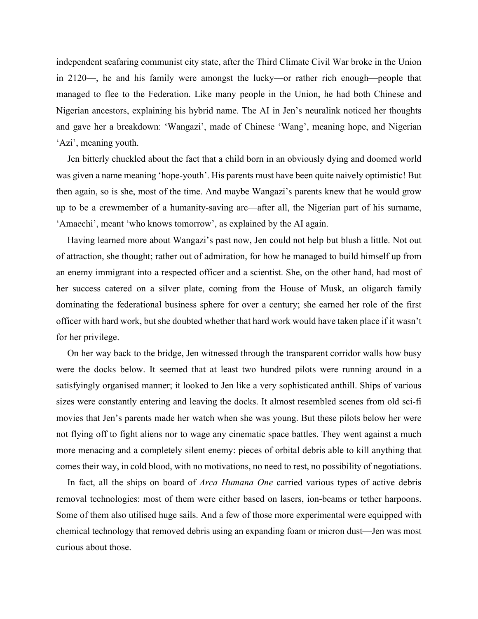independent seafaring communist city state, after the Third Climate Civil War broke in the Union in 2120—, he and his family were amongst the lucky—or rather rich enough—people that managed to flee to the Federation. Like many people in the Union, he had both Chinese and Nigerian ancestors, explaining his hybrid name. The AI in Jen's neuralink noticed her thoughts and gave her a breakdown: 'Wangazi', made of Chinese 'Wang', meaning hope, and Nigerian 'Azi', meaning youth.

Jen bitterly chuckled about the fact that a child born in an obviously dying and doomed world was given a name meaning 'hope-youth'. His parents must have been quite naively optimistic! But then again, so is she, most of the time. And maybe Wangazi's parents knew that he would grow up to be a crewmember of a humanity-saving arc—after all, the Nigerian part of his surname, 'Amaechi', meant 'who knows tomorrow', as explained by the AI again.

Having learned more about Wangazi's past now, Jen could not help but blush a little. Not out of attraction, she thought; rather out of admiration, for how he managed to build himself up from an enemy immigrant into a respected officer and a scientist. She, on the other hand, had most of her success catered on a silver plate, coming from the House of Musk, an oligarch family dominating the federational business sphere for over a century; she earned her role of the first officer with hard work, but she doubted whether that hard work would have taken place if it wasn't for her privilege.

On her way back to the bridge, Jen witnessed through the transparent corridor walls how busy were the docks below. It seemed that at least two hundred pilots were running around in a satisfyingly organised manner; it looked to Jen like a very sophisticated anthill. Ships of various sizes were constantly entering and leaving the docks. It almost resembled scenes from old sci-fi movies that Jen's parents made her watch when she was young. But these pilots below her were not flying off to fight aliens nor to wage any cinematic space battles. They went against a much more menacing and a completely silent enemy: pieces of orbital debris able to kill anything that comes their way, in cold blood, with no motivations, no need to rest, no possibility of negotiations.

In fact, all the ships on board of *Arca Humana One* carried various types of active debris removal technologies: most of them were either based on lasers, ion-beams or tether harpoons. Some of them also utilised huge sails. And a few of those more experimental were equipped with chemical technology that removed debris using an expanding foam or micron dust—Jen was most curious about those.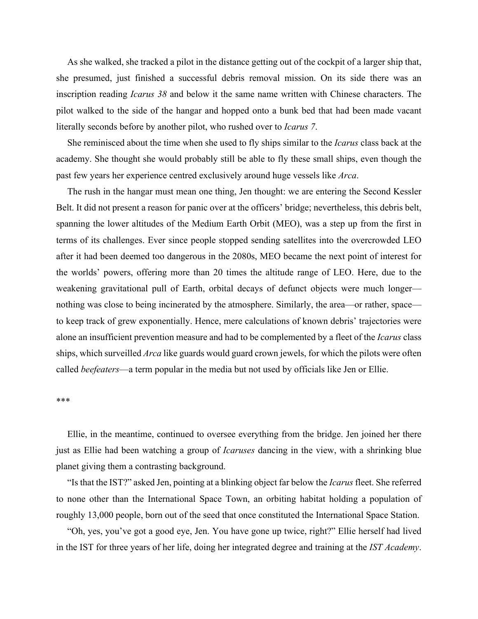As she walked, she tracked a pilot in the distance getting out of the cockpit of a larger ship that, she presumed, just finished a successful debris removal mission. On its side there was an inscription reading *Icarus 38* and below it the same name written with Chinese characters. The pilot walked to the side of the hangar and hopped onto a bunk bed that had been made vacant literally seconds before by another pilot, who rushed over to *Icarus 7*.

She reminisced about the time when she used to fly ships similar to the *Icarus* class back at the academy. She thought she would probably still be able to fly these small ships, even though the past few years her experience centred exclusively around huge vessels like *Arca*.

The rush in the hangar must mean one thing, Jen thought: we are entering the Second Kessler Belt. It did not present a reason for panic over at the officers' bridge; nevertheless, this debris belt, spanning the lower altitudes of the Medium Earth Orbit (MEO), was a step up from the first in terms of its challenges. Ever since people stopped sending satellites into the overcrowded LEO after it had been deemed too dangerous in the 2080s, MEO became the next point of interest for the worlds' powers, offering more than 20 times the altitude range of LEO. Here, due to the weakening gravitational pull of Earth, orbital decays of defunct objects were much longer nothing was close to being incinerated by the atmosphere. Similarly, the area—or rather, space to keep track of grew exponentially. Hence, mere calculations of known debris' trajectories were alone an insufficient prevention measure and had to be complemented by a fleet of the *Icarus* class ships, which surveilled *Arca* like guards would guard crown jewels, for which the pilots were often called *beefeaters*—a term popular in the media but not used by officials like Jen or Ellie.

#### \*\*\*

Ellie, in the meantime, continued to oversee everything from the bridge. Jen joined her there just as Ellie had been watching a group of *Icaruses* dancing in the view, with a shrinking blue planet giving them a contrasting background.

"Is that the IST?" asked Jen, pointing at a blinking object far below the *Icarus* fleet. She referred to none other than the International Space Town, an orbiting habitat holding a population of roughly 13,000 people, born out of the seed that once constituted the International Space Station.

"Oh, yes, you've got a good eye, Jen. You have gone up twice, right?" Ellie herself had lived in the IST for three years of her life, doing her integrated degree and training at the *IST Academy*.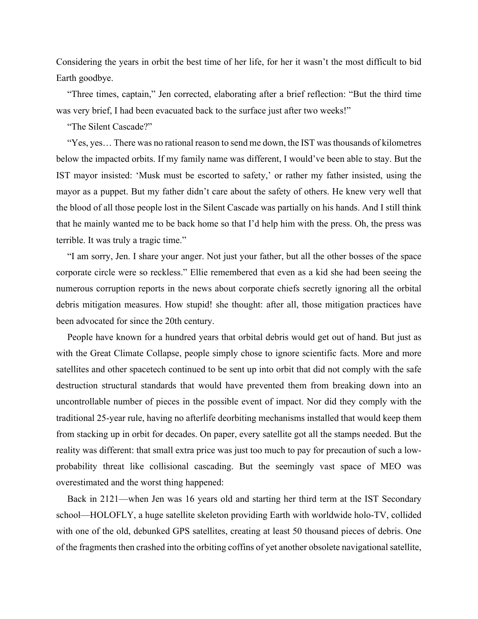Considering the years in orbit the best time of her life, for her it wasn't the most difficult to bid Earth goodbye.

"Three times, captain," Jen corrected, elaborating after a brief reflection: "But the third time was very brief, I had been evacuated back to the surface just after two weeks!"

"The Silent Cascade?"

"Yes, yes… There was no rational reason to send me down, the IST was thousands of kilometres below the impacted orbits. If my family name was different, I would've been able to stay. But the IST mayor insisted: 'Musk must be escorted to safety,' or rather my father insisted, using the mayor as a puppet. But my father didn't care about the safety of others. He knew very well that the blood of all those people lost in the Silent Cascade was partially on his hands. And I still think that he mainly wanted me to be back home so that I'd help him with the press. Oh, the press was terrible. It was truly a tragic time."

"I am sorry, Jen. I share your anger. Not just your father, but all the other bosses of the space corporate circle were so reckless." Ellie remembered that even as a kid she had been seeing the numerous corruption reports in the news about corporate chiefs secretly ignoring all the orbital debris mitigation measures. How stupid! she thought: after all, those mitigation practices have been advocated for since the 20th century.

People have known for a hundred years that orbital debris would get out of hand. But just as with the Great Climate Collapse, people simply chose to ignore scientific facts. More and more satellites and other spacetech continued to be sent up into orbit that did not comply with the safe destruction structural standards that would have prevented them from breaking down into an uncontrollable number of pieces in the possible event of impact. Nor did they comply with the traditional 25-year rule, having no afterlife deorbiting mechanisms installed that would keep them from stacking up in orbit for decades. On paper, every satellite got all the stamps needed. But the reality was different: that small extra price was just too much to pay for precaution of such a lowprobability threat like collisional cascading. But the seemingly vast space of MEO was overestimated and the worst thing happened:

Back in 2121—when Jen was 16 years old and starting her third term at the IST Secondary school—HOLOFLY, a huge satellite skeleton providing Earth with worldwide holo-TV, collided with one of the old, debunked GPS satellites, creating at least 50 thousand pieces of debris. One of the fragments then crashed into the orbiting coffins of yet another obsolete navigational satellite,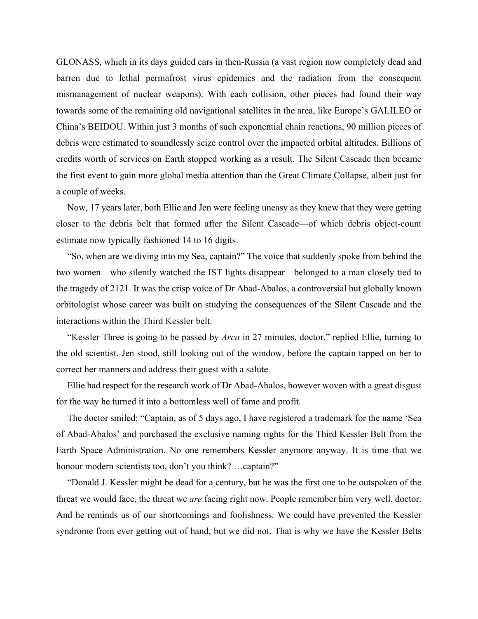GLONASS, which in its days guided cars in then-Russia (a vast region now completely dead and barren due to lethal permafrost virus epidemics and the radiation from the consequent mismanagement of nuclear weapons). With each collision, other pieces had found their way towards some of the remaining old navigational satellites in the area, like Europe's GALILEO or China's BEIDOU. Within just 3 months of such exponential chain reactions, 90 million pieces of debris were estimated to soundlessly seize control over the impacted orbital altitudes. Billions of credits worth of services on Earth stopped working as a result. The Silent Cascade then became the first event to gain more global media attention than the Great Climate Collapse, albeit just for a couple of weeks.

Now, 17 years later, both Ellie and Jen were feeling uneasy as they knew that they were getting closer to the debris belt that formed after the Silent Cascade—of which debris object-count estimate now typically fashioned 14 to 16 digits.

"So, when are we diving into my Sea, captain?" The voice that suddenly spoke from behind the two women—who silently watched the IST lights disappear—belonged to a man closely tied to the tragedy of 2121. It was the crisp voice of Dr Abad-Abalos, a controversial but globally known orbitologist whose career was built on studying the consequences of the Silent Cascade and the interactions within the Third Kessler belt.

"Kessler Three is going to be passed by *Arca* in 27 minutes, doctor." replied Ellie, turning to the old scientist. Jen stood, still looking out of the window, before the captain tapped on her to correct her manners and address their guest with a salute.

Ellie had respect for the research work of Dr Abad-Abalos, however woven with a great disgust for the way he turned it into a bottomless well of fame and profit.

The doctor smiled: "Captain, as of 5 days ago, I have registered a trademark for the name 'Sea of Abad-Abalos' and purchased the exclusive naming rights for the Third Kessler Belt from the Earth Space Administration. No one remembers Kessler anymore anyway. It is time that we honour modern scientists too, don't you think? ...captain?"

"Donald J. Kessler might be dead for a century, but he was the first one to be outspoken of the threat we would face, the threat we *are* facing right now. People remember him very well, doctor. And he reminds us of our shortcomings and foolishness. We could have prevented the Kessler syndrome from ever getting out of hand, but we did not. That is why we have the Kessler Belts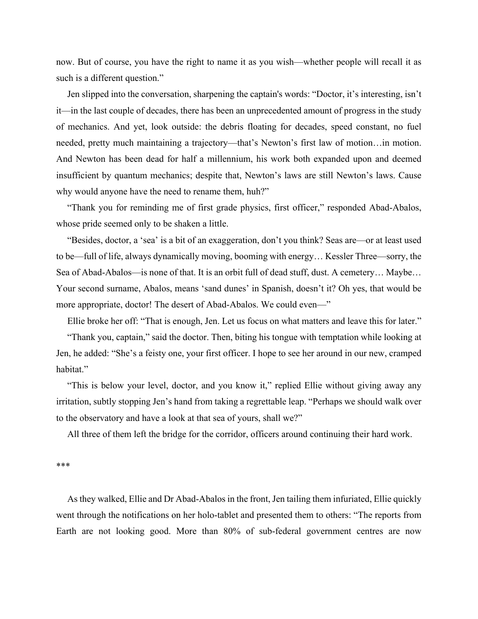now. But of course, you have the right to name it as you wish—whether people will recall it as such is a different question."

Jen slipped into the conversation, sharpening the captain's words: "Doctor, it's interesting, isn't it—in the last couple of decades, there has been an unprecedented amount of progress in the study of mechanics. And yet, look outside: the debris floating for decades, speed constant, no fuel needed, pretty much maintaining a trajectory—that's Newton's first law of motion…in motion. And Newton has been dead for half a millennium, his work both expanded upon and deemed insufficient by quantum mechanics; despite that, Newton's laws are still Newton's laws. Cause why would anyone have the need to rename them, huh?"

"Thank you for reminding me of first grade physics, first officer," responded Abad-Abalos, whose pride seemed only to be shaken a little.

"Besides, doctor, a 'sea' is a bit of an exaggeration, don't you think? Seas are—or at least used to be—full of life, always dynamically moving, booming with energy… Kessler Three—sorry, the Sea of Abad-Abalos—is none of that. It is an orbit full of dead stuff, dust. A cemetery… Maybe… Your second surname, Abalos, means 'sand dunes' in Spanish, doesn't it? Oh yes, that would be more appropriate, doctor! The desert of Abad-Abalos. We could even—"

Ellie broke her off: "That is enough, Jen. Let us focus on what matters and leave this for later."

"Thank you, captain," said the doctor. Then, biting his tongue with temptation while looking at Jen, he added: "She's a feisty one, your first officer. I hope to see her around in our new, cramped habitat."

"This is below your level, doctor, and you know it," replied Ellie without giving away any irritation, subtly stopping Jen's hand from taking a regrettable leap. "Perhaps we should walk over to the observatory and have a look at that sea of yours, shall we?"

All three of them left the bridge for the corridor, officers around continuing their hard work.

\*\*\*

As they walked, Ellie and Dr Abad-Abalos in the front, Jen tailing them infuriated, Ellie quickly went through the notifications on her holo-tablet and presented them to others: "The reports from Earth are not looking good. More than 80% of sub-federal government centres are now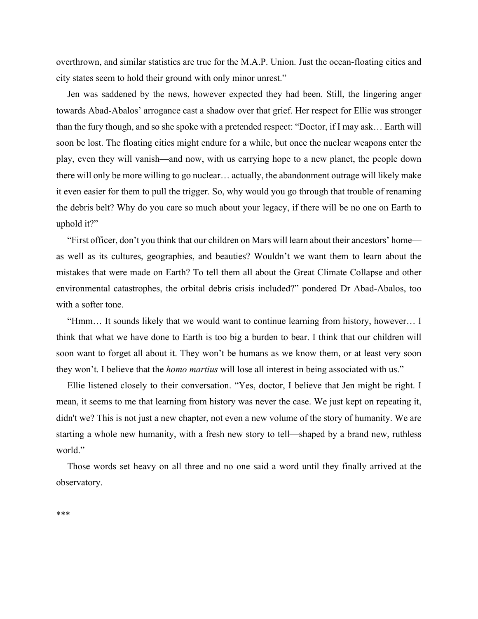overthrown, and similar statistics are true for the M.A.P. Union. Just the ocean-floating cities and city states seem to hold their ground with only minor unrest."

Jen was saddened by the news, however expected they had been. Still, the lingering anger towards Abad-Abalos' arrogance cast a shadow over that grief. Her respect for Ellie was stronger than the fury though, and so she spoke with a pretended respect: "Doctor, if I may ask… Earth will soon be lost. The floating cities might endure for a while, but once the nuclear weapons enter the play, even they will vanish—and now, with us carrying hope to a new planet, the people down there will only be more willing to go nuclear… actually, the abandonment outrage will likely make it even easier for them to pull the trigger. So, why would you go through that trouble of renaming the debris belt? Why do you care so much about your legacy, if there will be no one on Earth to uphold it?"

"First officer, don't you think that our children on Mars will learn about their ancestors' home as well as its cultures, geographies, and beauties? Wouldn't we want them to learn about the mistakes that were made on Earth? To tell them all about the Great Climate Collapse and other environmental catastrophes, the orbital debris crisis included?" pondered Dr Abad-Abalos, too with a softer tone.

"Hmm… It sounds likely that we would want to continue learning from history, however… I think that what we have done to Earth is too big a burden to bear. I think that our children will soon want to forget all about it. They won't be humans as we know them, or at least very soon they won't. I believe that the *homo martius* will lose all interest in being associated with us."

Ellie listened closely to their conversation. "Yes, doctor, I believe that Jen might be right. I mean, it seems to me that learning from history was never the case. We just kept on repeating it, didn't we? This is not just a new chapter, not even a new volume of the story of humanity. We are starting a whole new humanity, with a fresh new story to tell—shaped by a brand new, ruthless world."

Those words set heavy on all three and no one said a word until they finally arrived at the observatory.

\*\*\*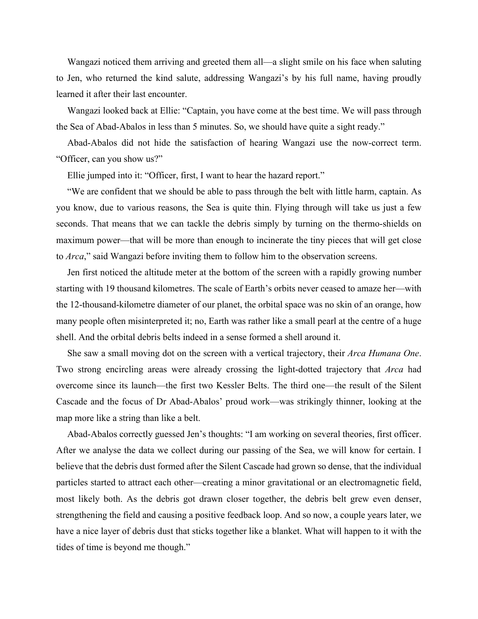Wangazi noticed them arriving and greeted them all—a slight smile on his face when saluting to Jen, who returned the kind salute, addressing Wangazi's by his full name, having proudly learned it after their last encounter.

Wangazi looked back at Ellie: "Captain, you have come at the best time. We will pass through the Sea of Abad-Abalos in less than 5 minutes. So, we should have quite a sight ready."

Abad-Abalos did not hide the satisfaction of hearing Wangazi use the now-correct term. "Officer, can you show us?"

Ellie jumped into it: "Officer, first, I want to hear the hazard report."

"We are confident that we should be able to pass through the belt with little harm, captain. As you know, due to various reasons, the Sea is quite thin. Flying through will take us just a few seconds. That means that we can tackle the debris simply by turning on the thermo-shields on maximum power—that will be more than enough to incinerate the tiny pieces that will get close to *Arca*," said Wangazi before inviting them to follow him to the observation screens.

Jen first noticed the altitude meter at the bottom of the screen with a rapidly growing number starting with 19 thousand kilometres. The scale of Earth's orbits never ceased to amaze her—with the 12-thousand-kilometre diameter of our planet, the orbital space was no skin of an orange, how many people often misinterpreted it; no, Earth was rather like a small pearl at the centre of a huge shell. And the orbital debris belts indeed in a sense formed a shell around it.

She saw a small moving dot on the screen with a vertical trajectory, their *Arca Humana One*. Two strong encircling areas were already crossing the light-dotted trajectory that *Arca* had overcome since its launch—the first two Kessler Belts. The third one—the result of the Silent Cascade and the focus of Dr Abad-Abalos' proud work—was strikingly thinner, looking at the map more like a string than like a belt.

Abad-Abalos correctly guessed Jen's thoughts: "I am working on several theories, first officer. After we analyse the data we collect during our passing of the Sea, we will know for certain. I believe that the debris dust formed after the Silent Cascade had grown so dense, that the individual particles started to attract each other—creating a minor gravitational or an electromagnetic field, most likely both. As the debris got drawn closer together, the debris belt grew even denser, strengthening the field and causing a positive feedback loop. And so now, a couple years later, we have a nice layer of debris dust that sticks together like a blanket. What will happen to it with the tides of time is beyond me though."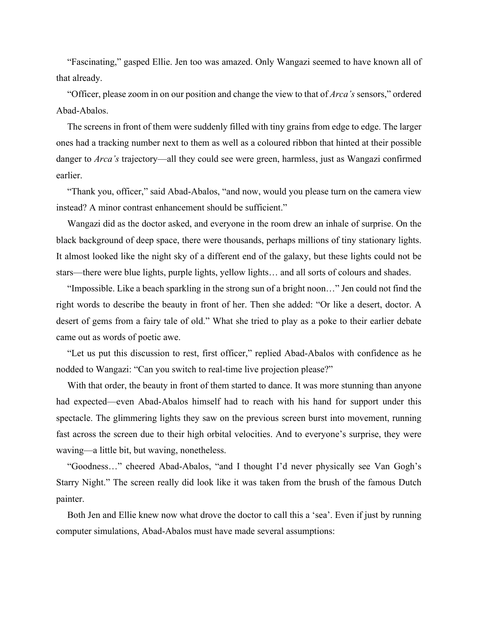"Fascinating," gasped Ellie. Jen too was amazed. Only Wangazi seemed to have known all of that already.

"Officer, please zoom in on our position and change the view to that of *Arca's* sensors," ordered Abad-Abalos.

The screens in front of them were suddenly filled with tiny grains from edge to edge. The larger ones had a tracking number next to them as well as a coloured ribbon that hinted at their possible danger to *Arca's* trajectory—all they could see were green, harmless, just as Wangazi confirmed earlier.

"Thank you, officer," said Abad-Abalos, "and now, would you please turn on the camera view instead? A minor contrast enhancement should be sufficient."

Wangazi did as the doctor asked, and everyone in the room drew an inhale of surprise. On the black background of deep space, there were thousands, perhaps millions of tiny stationary lights. It almost looked like the night sky of a different end of the galaxy, but these lights could not be stars—there were blue lights, purple lights, yellow lights… and all sorts of colours and shades.

"Impossible. Like a beach sparkling in the strong sun of a bright noon…" Jen could not find the right words to describe the beauty in front of her. Then she added: "Or like a desert, doctor. A desert of gems from a fairy tale of old." What she tried to play as a poke to their earlier debate came out as words of poetic awe.

"Let us put this discussion to rest, first officer," replied Abad-Abalos with confidence as he nodded to Wangazi: "Can you switch to real-time live projection please?"

With that order, the beauty in front of them started to dance. It was more stunning than anyone had expected—even Abad-Abalos himself had to reach with his hand for support under this spectacle. The glimmering lights they saw on the previous screen burst into movement, running fast across the screen due to their high orbital velocities. And to everyone's surprise, they were waving—a little bit, but waving, nonetheless.

"Goodness…" cheered Abad-Abalos, "and I thought I'd never physically see Van Gogh's Starry Night." The screen really did look like it was taken from the brush of the famous Dutch painter.

Both Jen and Ellie knew now what drove the doctor to call this a 'sea'. Even if just by running computer simulations, Abad-Abalos must have made several assumptions: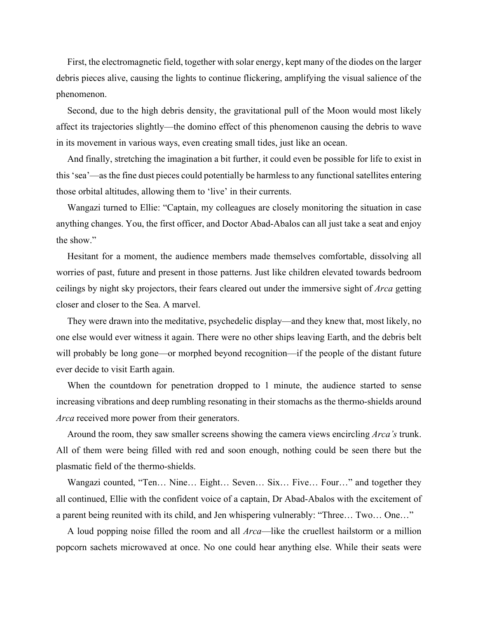First, the electromagnetic field, together with solar energy, kept many of the diodes on the larger debris pieces alive, causing the lights to continue flickering, amplifying the visual salience of the phenomenon.

Second, due to the high debris density, the gravitational pull of the Moon would most likely affect its trajectories slightly—the domino effect of this phenomenon causing the debris to wave in its movement in various ways, even creating small tides, just like an ocean.

And finally, stretching the imagination a bit further, it could even be possible for life to exist in this 'sea'—as the fine dust pieces could potentially be harmless to any functional satellites entering those orbital altitudes, allowing them to 'live' in their currents.

Wangazi turned to Ellie: "Captain, my colleagues are closely monitoring the situation in case anything changes. You, the first officer, and Doctor Abad-Abalos can all just take a seat and enjoy the show."

Hesitant for a moment, the audience members made themselves comfortable, dissolving all worries of past, future and present in those patterns. Just like children elevated towards bedroom ceilings by night sky projectors, their fears cleared out under the immersive sight of *Arca* getting closer and closer to the Sea. A marvel.

They were drawn into the meditative, psychedelic display—and they knew that, most likely, no one else would ever witness it again. There were no other ships leaving Earth, and the debris belt will probably be long gone—or morphed beyond recognition—if the people of the distant future ever decide to visit Earth again.

When the countdown for penetration dropped to 1 minute, the audience started to sense increasing vibrations and deep rumbling resonating in their stomachs as the thermo-shields around *Arca* received more power from their generators.

Around the room, they saw smaller screens showing the camera views encircling *Arca's* trunk. All of them were being filled with red and soon enough, nothing could be seen there but the plasmatic field of the thermo-shields.

Wangazi counted, "Ten… Nine… Eight… Seven… Six… Five… Four…" and together they all continued, Ellie with the confident voice of a captain, Dr Abad-Abalos with the excitement of a parent being reunited with its child, and Jen whispering vulnerably: "Three… Two… One…"

A loud popping noise filled the room and all *Arca*—like the cruellest hailstorm or a million popcorn sachets microwaved at once. No one could hear anything else. While their seats were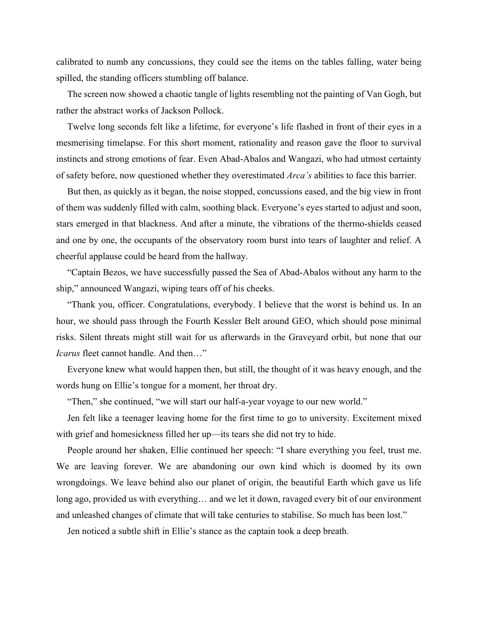calibrated to numb any concussions, they could see the items on the tables falling, water being spilled, the standing officers stumbling off balance.

The screen now showed a chaotic tangle of lights resembling not the painting of Van Gogh, but rather the abstract works of Jackson Pollock.

Twelve long seconds felt like a lifetime, for everyone's life flashed in front of their eyes in a mesmerising timelapse. For this short moment, rationality and reason gave the floor to survival instincts and strong emotions of fear. Even Abad-Abalos and Wangazi, who had utmost certainty of safety before, now questioned whether they overestimated *Arca's* abilities to face this barrier.

But then, as quickly as it began, the noise stopped, concussions eased, and the big view in front of them was suddenly filled with calm, soothing black. Everyone's eyes started to adjust and soon, stars emerged in that blackness. And after a minute, the vibrations of the thermo-shields ceased and one by one, the occupants of the observatory room burst into tears of laughter and relief. A cheerful applause could be heard from the hallway.

"Captain Bezos, we have successfully passed the Sea of Abad-Abalos without any harm to the ship," announced Wangazi, wiping tears off of his cheeks.

"Thank you, officer. Congratulations, everybody. I believe that the worst is behind us. In an hour, we should pass through the Fourth Kessler Belt around GEO, which should pose minimal risks. Silent threats might still wait for us afterwards in the Graveyard orbit, but none that our *Icarus* fleet cannot handle. And then…"

Everyone knew what would happen then, but still, the thought of it was heavy enough, and the words hung on Ellie's tongue for a moment, her throat dry.

"Then," she continued, "we will start our half-a-year voyage to our new world."

Jen felt like a teenager leaving home for the first time to go to university. Excitement mixed with grief and homesickness filled her up—its tears she did not try to hide.

People around her shaken, Ellie continued her speech: "I share everything you feel, trust me. We are leaving forever. We are abandoning our own kind which is doomed by its own wrongdoings. We leave behind also our planet of origin, the beautiful Earth which gave us life long ago, provided us with everything… and we let it down, ravaged every bit of our environment and unleashed changes of climate that will take centuries to stabilise. So much has been lost."

Jen noticed a subtle shift in Ellie's stance as the captain took a deep breath.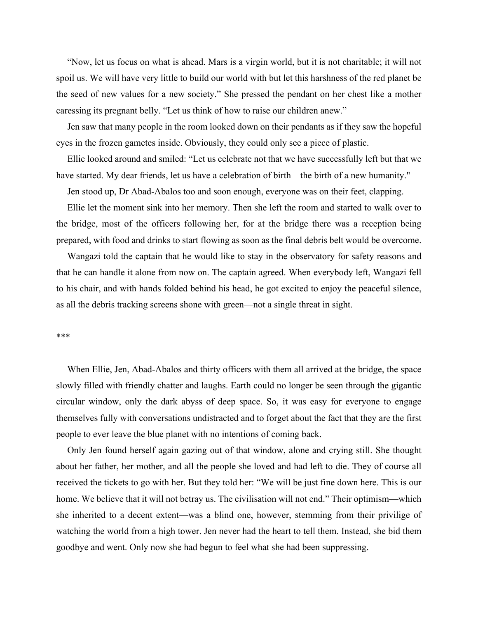"Now, let us focus on what is ahead. Mars is a virgin world, but it is not charitable; it will not spoil us. We will have very little to build our world with but let this harshness of the red planet be the seed of new values for a new society." She pressed the pendant on her chest like a mother caressing its pregnant belly. "Let us think of how to raise our children anew."

Jen saw that many people in the room looked down on their pendants as if they saw the hopeful eyes in the frozen gametes inside. Obviously, they could only see a piece of plastic.

Ellie looked around and smiled: "Let us celebrate not that we have successfully left but that we have started. My dear friends, let us have a celebration of birth—the birth of a new humanity."

Jen stood up, Dr Abad-Abalos too and soon enough, everyone was on their feet, clapping.

Ellie let the moment sink into her memory. Then she left the room and started to walk over to the bridge, most of the officers following her, for at the bridge there was a reception being prepared, with food and drinks to start flowing as soon as the final debris belt would be overcome.

Wangazi told the captain that he would like to stay in the observatory for safety reasons and that he can handle it alone from now on. The captain agreed. When everybody left, Wangazi fell to his chair, and with hands folded behind his head, he got excited to enjoy the peaceful silence, as all the debris tracking screens shone with green—not a single threat in sight.

#### \*\*\*

When Ellie, Jen, Abad-Abalos and thirty officers with them all arrived at the bridge, the space slowly filled with friendly chatter and laughs. Earth could no longer be seen through the gigantic circular window, only the dark abyss of deep space. So, it was easy for everyone to engage themselves fully with conversations undistracted and to forget about the fact that they are the first people to ever leave the blue planet with no intentions of coming back.

Only Jen found herself again gazing out of that window, alone and crying still. She thought about her father, her mother, and all the people she loved and had left to die. They of course all received the tickets to go with her. But they told her: "We will be just fine down here. This is our home. We believe that it will not betray us. The civilisation will not end." Their optimism—which she inherited to a decent extent—was a blind one, however, stemming from their privilige of watching the world from a high tower. Jen never had the heart to tell them. Instead, she bid them goodbye and went. Only now she had begun to feel what she had been suppressing.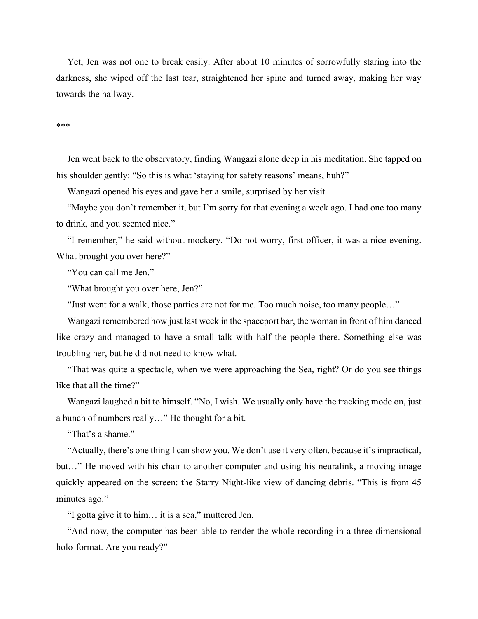Yet, Jen was not one to break easily. After about 10 minutes of sorrowfully staring into the darkness, she wiped off the last tear, straightened her spine and turned away, making her way towards the hallway.

#### \*\*\*

Jen went back to the observatory, finding Wangazi alone deep in his meditation. She tapped on his shoulder gently: "So this is what 'staying for safety reasons' means, huh?"

Wangazi opened his eyes and gave her a smile, surprised by her visit.

"Maybe you don't remember it, but I'm sorry for that evening a week ago. I had one too many to drink, and you seemed nice."

"I remember," he said without mockery. "Do not worry, first officer, it was a nice evening. What brought you over here?"

"You can call me Jen."

"What brought you over here, Jen?"

"Just went for a walk, those parties are not for me. Too much noise, too many people…"

Wangazi remembered how just last week in the spaceport bar, the woman in front of him danced like crazy and managed to have a small talk with half the people there. Something else was troubling her, but he did not need to know what.

"That was quite a spectacle, when we were approaching the Sea, right? Or do you see things like that all the time?"

Wangazi laughed a bit to himself. "No, I wish. We usually only have the tracking mode on, just a bunch of numbers really…" He thought for a bit.

"That's a shame."

"Actually, there's one thing I can show you. We don't use it very often, because it's impractical, but…" He moved with his chair to another computer and using his neuralink, a moving image quickly appeared on the screen: the Starry Night-like view of dancing debris. "This is from 45 minutes ago."

"I gotta give it to him… it is a sea," muttered Jen.

"And now, the computer has been able to render the whole recording in a three-dimensional holo-format. Are you ready?"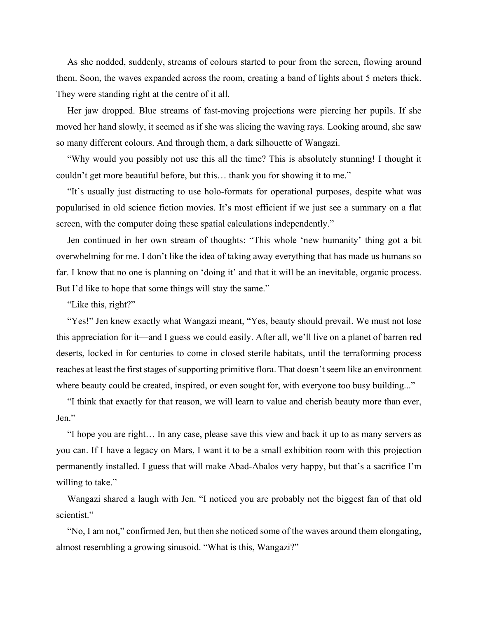As she nodded, suddenly, streams of colours started to pour from the screen, flowing around them. Soon, the waves expanded across the room, creating a band of lights about 5 meters thick. They were standing right at the centre of it all.

Her jaw dropped. Blue streams of fast-moving projections were piercing her pupils. If she moved her hand slowly, it seemed as if she was slicing the waving rays. Looking around, she saw so many different colours. And through them, a dark silhouette of Wangazi.

"Why would you possibly not use this all the time? This is absolutely stunning! I thought it couldn't get more beautiful before, but this… thank you for showing it to me."

"It's usually just distracting to use holo-formats for operational purposes, despite what was popularised in old science fiction movies. It's most efficient if we just see a summary on a flat screen, with the computer doing these spatial calculations independently."

Jen continued in her own stream of thoughts: "This whole 'new humanity' thing got a bit overwhelming for me. I don't like the idea of taking away everything that has made us humans so far. I know that no one is planning on 'doing it' and that it will be an inevitable, organic process. But I'd like to hope that some things will stay the same."

"Like this, right?"

"Yes!" Jen knew exactly what Wangazi meant, "Yes, beauty should prevail. We must not lose this appreciation for it—and I guess we could easily. After all, we'll live on a planet of barren red deserts, locked in for centuries to come in closed sterile habitats, until the terraforming process reaches at least the first stages of supporting primitive flora. That doesn't seem like an environment where beauty could be created, inspired, or even sought for, with everyone too busy building..."

"I think that exactly for that reason, we will learn to value and cherish beauty more than ever, Jen."

"I hope you are right… In any case, please save this view and back it up to as many servers as you can. If I have a legacy on Mars, I want it to be a small exhibition room with this projection permanently installed. I guess that will make Abad-Abalos very happy, but that's a sacrifice I'm willing to take."

Wangazi shared a laugh with Jen. "I noticed you are probably not the biggest fan of that old scientist."

"No, I am not," confirmed Jen, but then she noticed some of the waves around them elongating, almost resembling a growing sinusoid. "What is this, Wangazi?"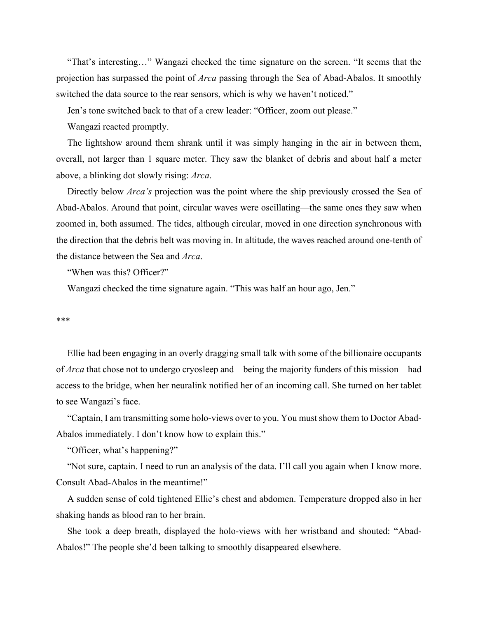"That's interesting…" Wangazi checked the time signature on the screen. "It seems that the projection has surpassed the point of *Arca* passing through the Sea of Abad-Abalos. It smoothly switched the data source to the rear sensors, which is why we haven't noticed."

Jen's tone switched back to that of a crew leader: "Officer, zoom out please."

Wangazi reacted promptly.

The lightshow around them shrank until it was simply hanging in the air in between them, overall, not larger than 1 square meter. They saw the blanket of debris and about half a meter above, a blinking dot slowly rising: *Arca*.

Directly below *Arca's* projection was the point where the ship previously crossed the Sea of Abad-Abalos. Around that point, circular waves were oscillating—the same ones they saw when zoomed in, both assumed. The tides, although circular, moved in one direction synchronous with the direction that the debris belt was moving in. In altitude, the waves reached around one-tenth of the distance between the Sea and *Arca*.

"When was this? Officer?"

Wangazi checked the time signature again. "This was half an hour ago, Jen."

#### \*\*\*

Ellie had been engaging in an overly dragging small talk with some of the billionaire occupants of *Arca* that chose not to undergo cryosleep and—being the majority funders of this mission—had access to the bridge, when her neuralink notified her of an incoming call. She turned on her tablet to see Wangazi's face.

"Captain, I am transmitting some holo-views over to you. You must show them to Doctor Abad-Abalos immediately. I don't know how to explain this."

"Officer, what's happening?"

"Not sure, captain. I need to run an analysis of the data. I'll call you again when I know more. Consult Abad-Abalos in the meantime!"

A sudden sense of cold tightened Ellie's chest and abdomen. Temperature dropped also in her shaking hands as blood ran to her brain.

She took a deep breath, displayed the holo-views with her wristband and shouted: "Abad-Abalos!" The people she'd been talking to smoothly disappeared elsewhere.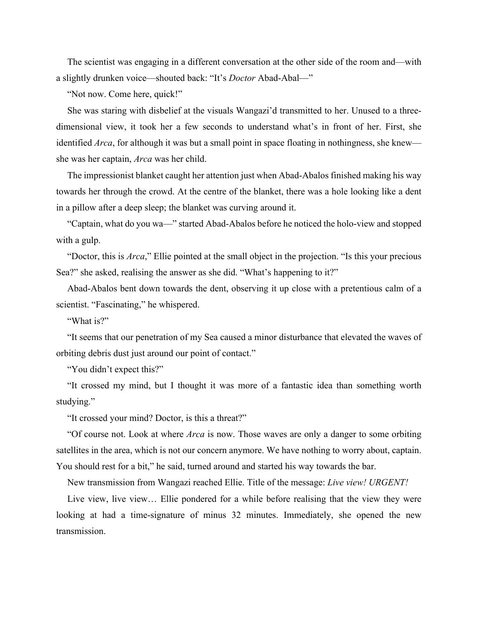The scientist was engaging in a different conversation at the other side of the room and—with a slightly drunken voice—shouted back: "It's *Doctor* Abad-Abal—"

"Not now. Come here, quick!"

She was staring with disbelief at the visuals Wangazi'd transmitted to her. Unused to a threedimensional view, it took her a few seconds to understand what's in front of her. First, she identified *Arca*, for although it was but a small point in space floating in nothingness, she knew she was her captain, *Arca* was her child.

The impressionist blanket caught her attention just when Abad-Abalos finished making his way towards her through the crowd. At the centre of the blanket, there was a hole looking like a dent in a pillow after a deep sleep; the blanket was curving around it.

"Captain, what do you wa—" started Abad-Abalos before he noticed the holo-view and stopped with a gulp.

"Doctor, this is *Arca*," Ellie pointed at the small object in the projection. "Is this your precious Sea?" she asked, realising the answer as she did. "What's happening to it?"

Abad-Abalos bent down towards the dent, observing it up close with a pretentious calm of a scientist. "Fascinating," he whispered.

"What is?"

"It seems that our penetration of my Sea caused a minor disturbance that elevated the waves of orbiting debris dust just around our point of contact."

"You didn't expect this?"

"It crossed my mind, but I thought it was more of a fantastic idea than something worth studying."

"It crossed your mind? Doctor, is this a threat?"

"Of course not. Look at where *Arca* is now. Those waves are only a danger to some orbiting satellites in the area, which is not our concern anymore. We have nothing to worry about, captain. You should rest for a bit," he said, turned around and started his way towards the bar.

New transmission from Wangazi reached Ellie. Title of the message: *Live view! URGENT!*

Live view, live view… Ellie pondered for a while before realising that the view they were looking at had a time-signature of minus 32 minutes. Immediately, she opened the new transmission.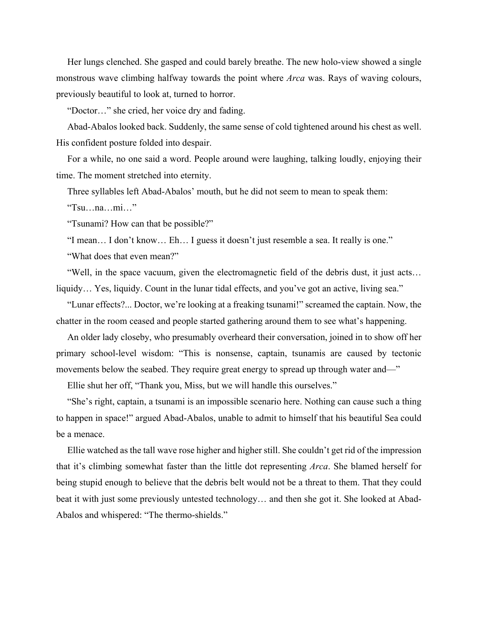Her lungs clenched. She gasped and could barely breathe. The new holo-view showed a single monstrous wave climbing halfway towards the point where *Arca* was. Rays of waving colours, previously beautiful to look at, turned to horror.

"Doctor…" she cried, her voice dry and fading.

Abad-Abalos looked back. Suddenly, the same sense of cold tightened around his chest as well. His confident posture folded into despair.

For a while, no one said a word. People around were laughing, talking loudly, enjoying their time. The moment stretched into eternity.

Three syllables left Abad-Abalos' mouth, but he did not seem to mean to speak them:

"Tsu…na…mi…"

"Tsunami? How can that be possible?"

"I mean… I don't know… Eh… I guess it doesn't just resemble a sea. It really is one." "What does that even mean?"

"Well, in the space vacuum, given the electromagnetic field of the debris dust, it just acts… liquidy... Yes, liquidy. Count in the lunar tidal effects, and you've got an active, living sea."

"Lunar effects?... Doctor, we're looking at a freaking tsunami!" screamed the captain. Now, the chatter in the room ceased and people started gathering around them to see what's happening.

An older lady closeby, who presumably overheard their conversation, joined in to show off her primary school-level wisdom: "This is nonsense, captain, tsunamis are caused by tectonic movements below the seabed. They require great energy to spread up through water and—"

Ellie shut her off, "Thank you, Miss, but we will handle this ourselves."

"She's right, captain, a tsunami is an impossible scenario here. Nothing can cause such a thing to happen in space!" argued Abad-Abalos, unable to admit to himself that his beautiful Sea could be a menace.

Ellie watched as the tall wave rose higher and higher still. She couldn't get rid of the impression that it's climbing somewhat faster than the little dot representing *Arca*. She blamed herself for being stupid enough to believe that the debris belt would not be a threat to them. That they could beat it with just some previously untested technology… and then she got it. She looked at Abad-Abalos and whispered: "The thermo-shields."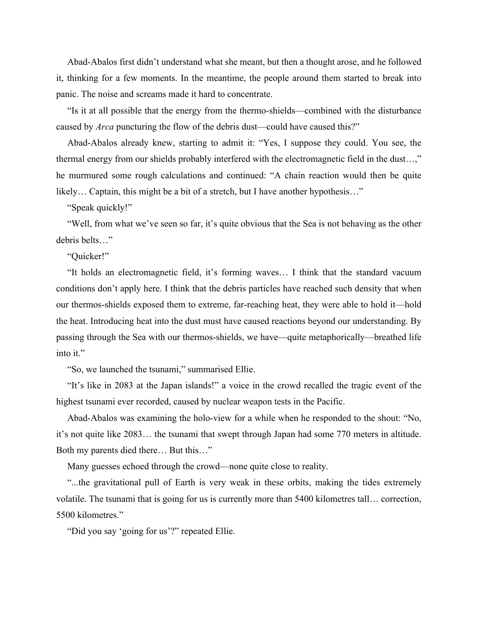Abad-Abalos first didn't understand what she meant, but then a thought arose, and he followed it, thinking for a few moments. In the meantime, the people around them started to break into panic. The noise and screams made it hard to concentrate.

"Is it at all possible that the energy from the thermo-shields—combined with the disturbance caused by *Arca* puncturing the flow of the debris dust—could have caused this?"

Abad-Abalos already knew, starting to admit it: "Yes, I suppose they could. You see, the thermal energy from our shields probably interfered with the electromagnetic field in the dust…," he murmured some rough calculations and continued: "A chain reaction would then be quite likely… Captain, this might be a bit of a stretch, but I have another hypothesis…"

"Speak quickly!"

"Well, from what we've seen so far, it's quite obvious that the Sea is not behaving as the other debris belts…"

"Quicker!"

"It holds an electromagnetic field, it's forming waves… I think that the standard vacuum conditions don't apply here. I think that the debris particles have reached such density that when our thermos-shields exposed them to extreme, far-reaching heat, they were able to hold it—hold the heat. Introducing heat into the dust must have caused reactions beyond our understanding. By passing through the Sea with our thermos-shields, we have—quite metaphorically—breathed life into it."

"So, we launched the tsunami," summarised Ellie.

"It's like in 2083 at the Japan islands!" a voice in the crowd recalled the tragic event of the highest tsunami ever recorded, caused by nuclear weapon tests in the Pacific.

Abad-Abalos was examining the holo-view for a while when he responded to the shout: "No, it's not quite like 2083… the tsunami that swept through Japan had some 770 meters in altitude. Both my parents died there… But this…"

Many guesses echoed through the crowd—none quite close to reality.

"...the gravitational pull of Earth is very weak in these orbits, making the tides extremely volatile. The tsunami that is going for us is currently more than 5400 kilometres tall… correction, 5500 kilometres."

"Did you say 'going for us'?" repeated Ellie.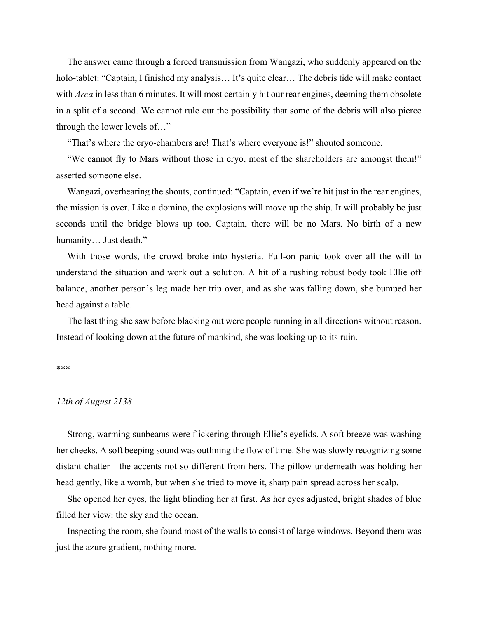The answer came through a forced transmission from Wangazi, who suddenly appeared on the holo-tablet: "Captain, I finished my analysis... It's quite clear... The debris tide will make contact with *Arca* in less than 6 minutes. It will most certainly hit our rear engines, deeming them obsolete in a split of a second. We cannot rule out the possibility that some of the debris will also pierce through the lower levels of…"

"That's where the cryo-chambers are! That's where everyone is!" shouted someone.

"We cannot fly to Mars without those in cryo, most of the shareholders are amongst them!" asserted someone else.

Wangazi, overhearing the shouts, continued: "Captain, even if we're hit just in the rear engines, the mission is over. Like a domino, the explosions will move up the ship. It will probably be just seconds until the bridge blows up too. Captain, there will be no Mars. No birth of a new humanity… Just death."

With those words, the crowd broke into hysteria. Full-on panic took over all the will to understand the situation and work out a solution. A hit of a rushing robust body took Ellie off balance, another person's leg made her trip over, and as she was falling down, she bumped her head against a table.

The last thing she saw before blacking out were people running in all directions without reason. Instead of looking down at the future of mankind, she was looking up to its ruin.

#### \*\*\*

### *12th of August 2138*

Strong, warming sunbeams were flickering through Ellie's eyelids. A soft breeze was washing her cheeks. A soft beeping sound was outlining the flow of time. She was slowly recognizing some distant chatter—the accents not so different from hers. The pillow underneath was holding her head gently, like a womb, but when she tried to move it, sharp pain spread across her scalp.

She opened her eyes, the light blinding her at first. As her eyes adjusted, bright shades of blue filled her view: the sky and the ocean.

Inspecting the room, she found most of the walls to consist of large windows. Beyond them was just the azure gradient, nothing more.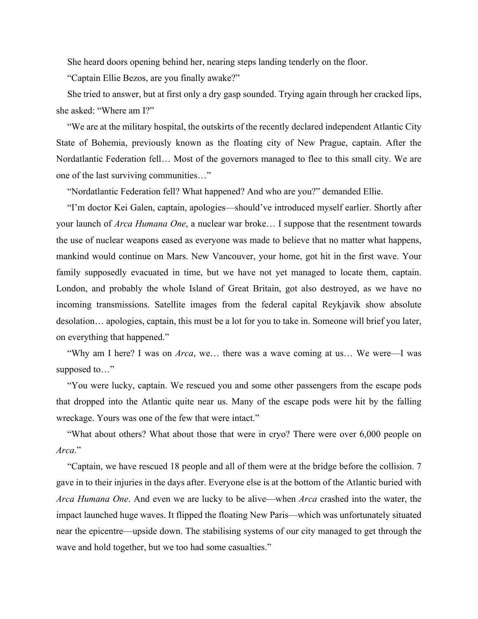She heard doors opening behind her, nearing steps landing tenderly on the floor.

"Captain Ellie Bezos, are you finally awake?"

She tried to answer, but at first only a dry gasp sounded. Trying again through her cracked lips, she asked: "Where am I?"

"We are at the military hospital, the outskirts of the recently declared independent Atlantic City State of Bohemia, previously known as the floating city of New Prague, captain. After the Nordatlantic Federation fell… Most of the governors managed to flee to this small city. We are one of the last surviving communities…"

"Nordatlantic Federation fell? What happened? And who are you?" demanded Ellie.

"I'm doctor Kei Galen, captain, apologies—should've introduced myself earlier. Shortly after your launch of *Arca Humana One*, a nuclear war broke… I suppose that the resentment towards the use of nuclear weapons eased as everyone was made to believe that no matter what happens, mankind would continue on Mars. New Vancouver, your home, got hit in the first wave. Your family supposedly evacuated in time, but we have not yet managed to locate them, captain. London, and probably the whole Island of Great Britain, got also destroyed, as we have no incoming transmissions. Satellite images from the federal capital Reykjavik show absolute desolation… apologies, captain, this must be a lot for you to take in. Someone will brief you later, on everything that happened."

"Why am I here? I was on *Arca*, we… there was a wave coming at us… We were—I was supposed to…"

"You were lucky, captain. We rescued you and some other passengers from the escape pods that dropped into the Atlantic quite near us. Many of the escape pods were hit by the falling wreckage. Yours was one of the few that were intact."

"What about others? What about those that were in cryo? There were over 6,000 people on *Arca*."

"Captain, we have rescued 18 people and all of them were at the bridge before the collision. 7 gave in to their injuries in the days after. Everyone else is at the bottom of the Atlantic buried with *Arca Humana One*. And even we are lucky to be alive—when *Arca* crashed into the water, the impact launched huge waves. It flipped the floating New Paris—which was unfortunately situated near the epicentre—upside down. The stabilising systems of our city managed to get through the wave and hold together, but we too had some casualties."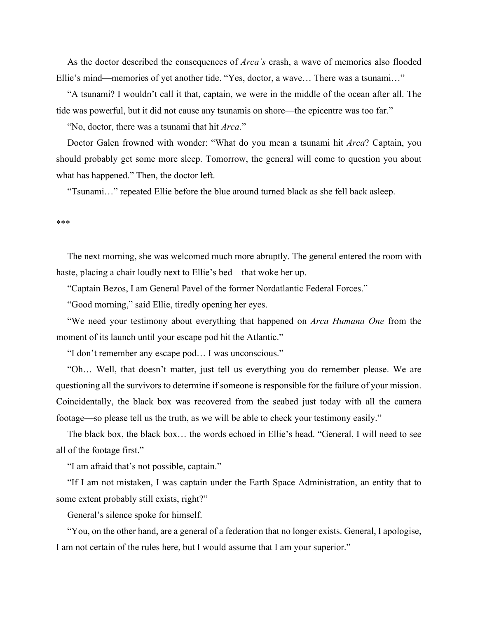As the doctor described the consequences of *Arca's* crash, a wave of memories also flooded Ellie's mind—memories of yet another tide. "Yes, doctor, a wave… There was a tsunami…"

"A tsunami? I wouldn't call it that, captain, we were in the middle of the ocean after all. The tide was powerful, but it did not cause any tsunamis on shore—the epicentre was too far."

"No, doctor, there was a tsunami that hit *Arca*."

Doctor Galen frowned with wonder: "What do you mean a tsunami hit *Arca*? Captain, you should probably get some more sleep. Tomorrow, the general will come to question you about what has happened." Then, the doctor left.

"Tsunami…" repeated Ellie before the blue around turned black as she fell back asleep.

#### \*\*\*

The next morning, she was welcomed much more abruptly. The general entered the room with haste, placing a chair loudly next to Ellie's bed—that woke her up.

"Captain Bezos, I am General Pavel of the former Nordatlantic Federal Forces."

"Good morning," said Ellie, tiredly opening her eyes.

"We need your testimony about everything that happened on *Arca Humana One* from the moment of its launch until your escape pod hit the Atlantic."

"I don't remember any escape pod… I was unconscious."

"Oh… Well, that doesn't matter, just tell us everything you do remember please. We are questioning all the survivors to determine if someone is responsible for the failure of your mission. Coincidentally, the black box was recovered from the seabed just today with all the camera footage—so please tell us the truth, as we will be able to check your testimony easily."

The black box, the black box… the words echoed in Ellie's head. "General, I will need to see all of the footage first."

"I am afraid that's not possible, captain."

"If I am not mistaken, I was captain under the Earth Space Administration, an entity that to some extent probably still exists, right?"

General's silence spoke for himself.

"You, on the other hand, are a general of a federation that no longer exists. General, I apologise, I am not certain of the rules here, but I would assume that I am your superior."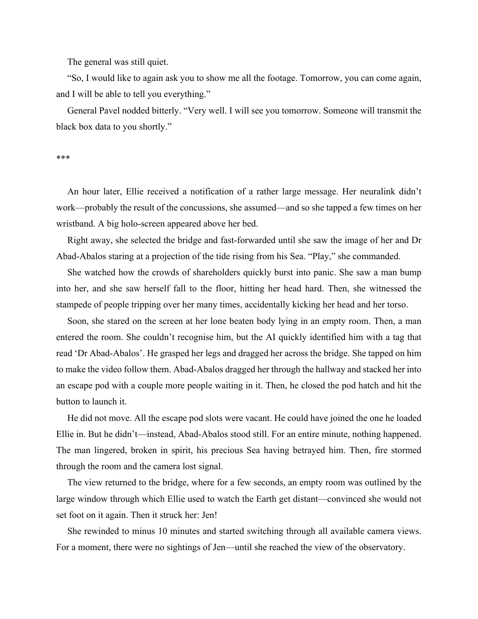The general was still quiet.

"So, I would like to again ask you to show me all the footage. Tomorrow, you can come again, and I will be able to tell you everything."

General Pavel nodded bitterly. "Very well. I will see you tomorrow. Someone will transmit the black box data to you shortly."

\*\*\*

An hour later, Ellie received a notification of a rather large message. Her neuralink didn't work—probably the result of the concussions, she assumed—and so she tapped a few times on her wristband. A big holo-screen appeared above her bed.

Right away, she selected the bridge and fast-forwarded until she saw the image of her and Dr Abad-Abalos staring at a projection of the tide rising from his Sea. "Play," she commanded.

She watched how the crowds of shareholders quickly burst into panic. She saw a man bump into her, and she saw herself fall to the floor, hitting her head hard. Then, she witnessed the stampede of people tripping over her many times, accidentally kicking her head and her torso.

Soon, she stared on the screen at her lone beaten body lying in an empty room. Then, a man entered the room. She couldn't recognise him, but the AI quickly identified him with a tag that read 'Dr Abad-Abalos'. He grasped her legs and dragged her across the bridge. She tapped on him to make the video follow them. Abad-Abalos dragged her through the hallway and stacked her into an escape pod with a couple more people waiting in it. Then, he closed the pod hatch and hit the button to launch it.

He did not move. All the escape pod slots were vacant. He could have joined the one he loaded Ellie in. But he didn't—instead, Abad-Abalos stood still. For an entire minute, nothing happened. The man lingered, broken in spirit, his precious Sea having betrayed him. Then, fire stormed through the room and the camera lost signal.

The view returned to the bridge, where for a few seconds, an empty room was outlined by the large window through which Ellie used to watch the Earth get distant—convinced she would not set foot on it again. Then it struck her: Jen!

She rewinded to minus 10 minutes and started switching through all available camera views. For a moment, there were no sightings of Jen—until she reached the view of the observatory.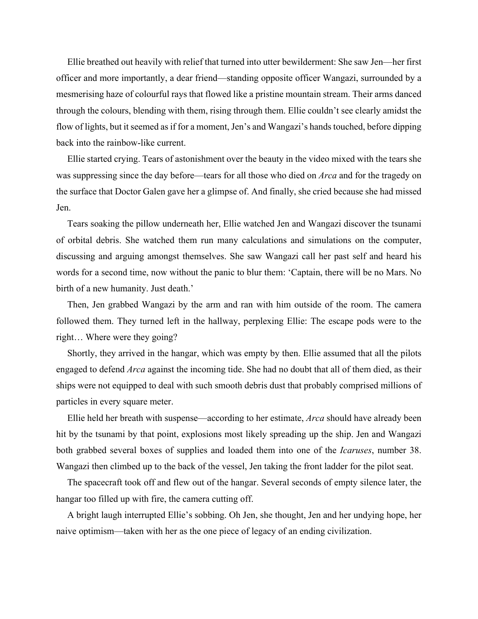Ellie breathed out heavily with relief that turned into utter bewilderment: She saw Jen—her first officer and more importantly, a dear friend—standing opposite officer Wangazi, surrounded by a mesmerising haze of colourful rays that flowed like a pristine mountain stream. Their arms danced through the colours, blending with them, rising through them. Ellie couldn't see clearly amidst the flow of lights, but it seemed as if for a moment, Jen's and Wangazi's hands touched, before dipping back into the rainbow-like current.

Ellie started crying. Tears of astonishment over the beauty in the video mixed with the tears she was suppressing since the day before—tears for all those who died on *Arca* and for the tragedy on the surface that Doctor Galen gave her a glimpse of. And finally, she cried because she had missed Jen.

Tears soaking the pillow underneath her, Ellie watched Jen and Wangazi discover the tsunami of orbital debris. She watched them run many calculations and simulations on the computer, discussing and arguing amongst themselves. She saw Wangazi call her past self and heard his words for a second time, now without the panic to blur them: 'Captain, there will be no Mars. No birth of a new humanity. Just death.'

Then, Jen grabbed Wangazi by the arm and ran with him outside of the room. The camera followed them. They turned left in the hallway, perplexing Ellie: The escape pods were to the right… Where were they going?

Shortly, they arrived in the hangar, which was empty by then. Ellie assumed that all the pilots engaged to defend *Arca* against the incoming tide. She had no doubt that all of them died, as their ships were not equipped to deal with such smooth debris dust that probably comprised millions of particles in every square meter.

Ellie held her breath with suspense—according to her estimate, *Arca* should have already been hit by the tsunami by that point, explosions most likely spreading up the ship. Jen and Wangazi both grabbed several boxes of supplies and loaded them into one of the *Icaruses*, number 38. Wangazi then climbed up to the back of the vessel, Jen taking the front ladder for the pilot seat.

The spacecraft took off and flew out of the hangar. Several seconds of empty silence later, the hangar too filled up with fire, the camera cutting off.

A bright laugh interrupted Ellie's sobbing. Oh Jen, she thought, Jen and her undying hope, her naive optimism—taken with her as the one piece of legacy of an ending civilization.